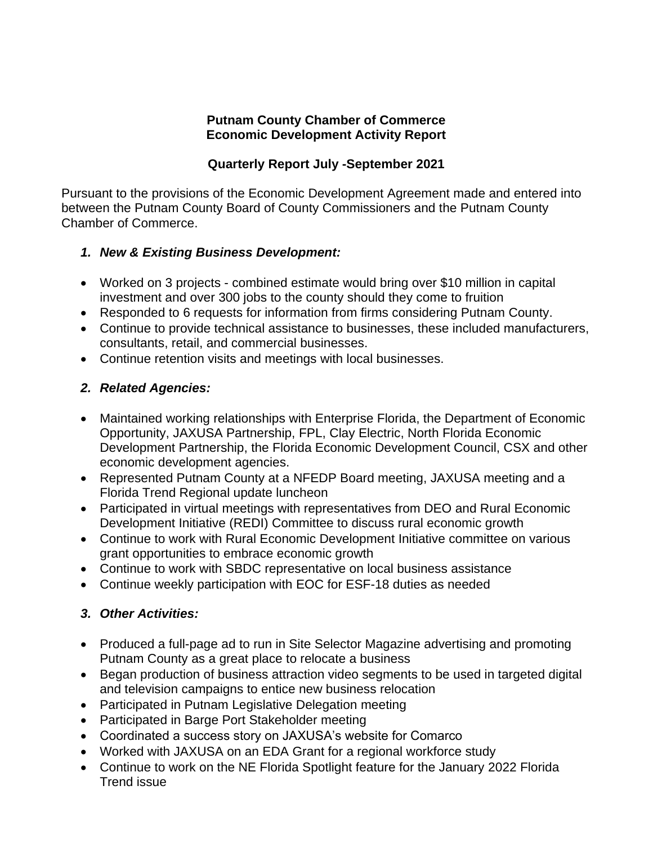#### **Putnam County Chamber of Commerce Economic Development Activity Report**

### **Quarterly Report July -September 2021**

Pursuant to the provisions of the Economic Development Agreement made and entered into between the Putnam County Board of County Commissioners and the Putnam County Chamber of Commerce.

### *1. New & Existing Business Development:*

- Worked on 3 projects combined estimate would bring over \$10 million in capital investment and over 300 jobs to the county should they come to fruition
- Responded to 6 requests for information from firms considering Putnam County.
- Continue to provide technical assistance to businesses, these included manufacturers, consultants, retail, and commercial businesses.
- Continue retention visits and meetings with local businesses.

# *2. Related Agencies:*

- Maintained working relationships with Enterprise Florida, the Department of Economic Opportunity, JAXUSA Partnership, FPL, Clay Electric, North Florida Economic Development Partnership, the Florida Economic Development Council, CSX and other economic development agencies.
- Represented Putnam County at a NFEDP Board meeting, JAXUSA meeting and a Florida Trend Regional update luncheon
- Participated in virtual meetings with representatives from DEO and Rural Economic Development Initiative (REDI) Committee to discuss rural economic growth
- Continue to work with Rural Economic Development Initiative committee on various grant opportunities to embrace economic growth
- Continue to work with SBDC representative on local business assistance
- Continue weekly participation with EOC for ESF-18 duties as needed

# *3. Other Activities:*

- Produced a full-page ad to run in Site Selector Magazine advertising and promoting Putnam County as a great place to relocate a business
- Began production of business attraction video segments to be used in targeted digital and television campaigns to entice new business relocation
- Participated in Putnam Legislative Delegation meeting
- Participated in Barge Port Stakeholder meeting
- Coordinated a success story on JAXUSA's website for Comarco
- Worked with JAXUSA on an EDA Grant for a regional workforce study
- Continue to work on the NE Florida Spotlight feature for the January 2022 Florida Trend issue